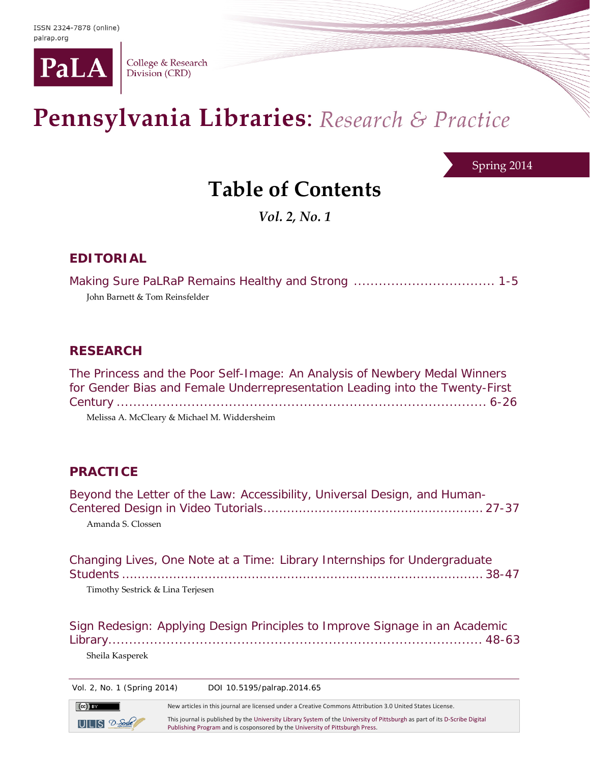

College & Research Division (CRD)

# Pennsylvania Libraries: Research & Practice

Spring 2014

## **Table of Contents**

*Vol. 2, No. 1*

#### **EDITORIAL**

Making Sure *PaLRaP* Remains Healthy and Strong .................................. 1-5 John Barnett & Tom Reinsfelder

#### **RESEARCH**

| The Princess and the Poor Self-Image: An Analysis of Newbery Medal Winners   |
|------------------------------------------------------------------------------|
| for Gender Bias and Female Underrepresentation Leading into the Twenty-First |
|                                                                              |
| Melissa A. McCleary & Michael M. Widdersheim                                 |

### **PRACTICE**

| Beyond the Letter of the Law: Accessibility, Universal Design, and Human-<br>Amanda S. Clossen                |
|---------------------------------------------------------------------------------------------------------------|
| Changing Lives, One Note at a Time: Library Internships for Undergraduate<br>Timothy Sestrick & Lina Terjesen |
| Sign Redesign: Applying Design Principles to Improve Signage in an Academic                                   |

Sheila Kasperek

 $(cc)$  BY

 $ULS$   $2$ -Sork

Vol. 2, No. 1 (Spring 2014) DOI 10.5195/palrap.2014.65

New articles in this journal are licensed under a Creative Commons Attribution 3.0 United States License.

This journal is published by th[e University Library System](http://www.library.pitt.edu/) of th[e University of Pittsburgh](http://www.pitt.edu/) as part of it[s D-Scribe Digital](http://www.library.pitt.edu/articles/digpubtype/index.html)  [Publishing Program](http://www.library.pitt.edu/articles/digpubtype/index.html) and is cosponsored by th[e University of Pittsburgh Press.](http://upress.pitt.edu/)